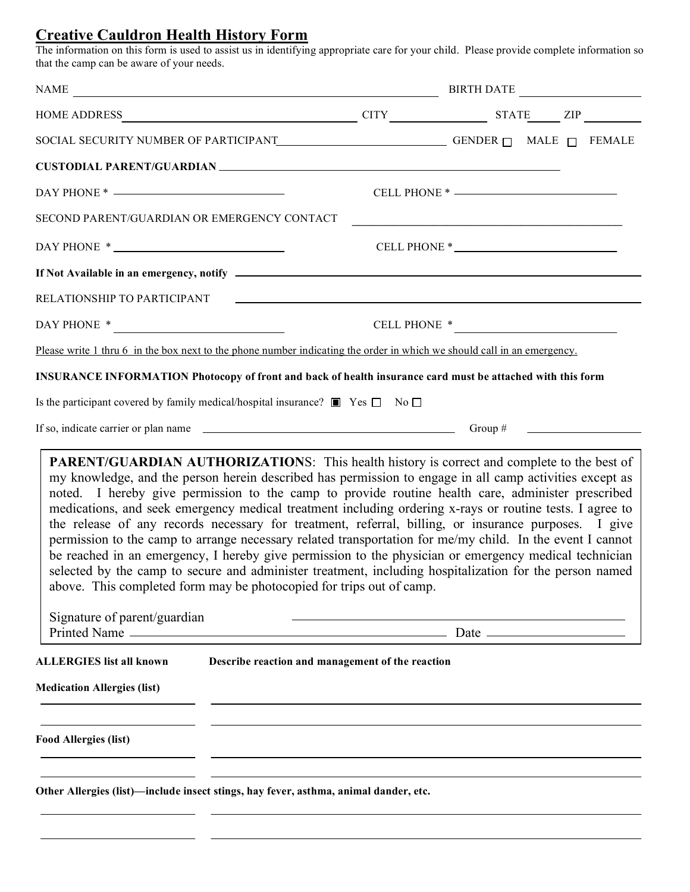## **Creative Cauldron Health History Form**

The information on this form is used to assist us in identifying appropriate care for your child. Please provide complete information so that the camp can be aware of your needs.

| NAME                                                                                                                                                                                                                                                                                                                                                                                                                                                                                                                                                                                                                                                                                                                                                                                                                                                                                                                                                                           |                                                              | BIRTH DATE |  |  |
|--------------------------------------------------------------------------------------------------------------------------------------------------------------------------------------------------------------------------------------------------------------------------------------------------------------------------------------------------------------------------------------------------------------------------------------------------------------------------------------------------------------------------------------------------------------------------------------------------------------------------------------------------------------------------------------------------------------------------------------------------------------------------------------------------------------------------------------------------------------------------------------------------------------------------------------------------------------------------------|--------------------------------------------------------------|------------|--|--|
|                                                                                                                                                                                                                                                                                                                                                                                                                                                                                                                                                                                                                                                                                                                                                                                                                                                                                                                                                                                |                                                              |            |  |  |
| SOCIAL SECURITY NUMBER OF PARTICIPANT<br>$\begin{array}{ccc}\n\multicolumn{3}{c}{} & \multicolumn{3}{c}{} & \multicolumn{3}{c}{} & \multicolumn{3}{c}{} & \multicolumn{3}{c}{} & \multicolumn{3}{c}{} & \multicolumn{3}{c}{} & \multicolumn{3}{c}{} & \multicolumn{3}{c}{} & \multicolumn{3}{c}{} & \multicolumn{3}{c}{} & \multicolumn{3}{c}{} & \multicolumn{3}{c}{} & \multicolumn{3}{c}{} & \multicolumn{3}{c}{} & \multicolumn{3}{c$                                                                                                                                                                                                                                                                                                                                                                                                                                                                                                                                      |                                                              |            |  |  |
| CUSTODIAL PARENT/GUARDIAN NAME AND THE RESERVE OF THE RESERVE OF THE RESERVE OF THE RESERVE OF THE RESERVE OF THE RESERVE OF THE RESERVE OF THE RESERVE OF THE RESERVE OF THE RESERVE OF THE RESERVE OF THE RESERVE OF THE RES                                                                                                                                                                                                                                                                                                                                                                                                                                                                                                                                                                                                                                                                                                                                                 |                                                              |            |  |  |
| $DAY$ PHONE $*$ $\qquad$                                                                                                                                                                                                                                                                                                                                                                                                                                                                                                                                                                                                                                                                                                                                                                                                                                                                                                                                                       |                                                              |            |  |  |
| SECOND PARENT/GUARDIAN OR EMERGENCY CONTACT                                                                                                                                                                                                                                                                                                                                                                                                                                                                                                                                                                                                                                                                                                                                                                                                                                                                                                                                    |                                                              |            |  |  |
| $\begin{tabular}{c} \bf{DAY PHONE *} \end{tabular} \vspace{-.5cm} \begin{tabular}{c} \bf{AAY PHONE *} \end{tabular} \vspace{-.5cm} \begin{tabular}{c} \bf{AAY PHONE *} \end{tabular} \vspace{-.5cm} \begin{tabular}{c} \bf{AAY PHONE *} \end{tabular} \vspace{-.5cm} \end{tabular} \vspace{-.5cm} \begin{tabular}{c} \bf{AAY PHONE *} \end{tabular} \vspace{-.5cm} \begin{tabular}{c} \bf{AAZ} \end{tabular} \vspace{-.5cm} \end{tabular} \vspace{-.5cm} \begin{tabular}{c} \$                                                                                                                                                                                                                                                                                                                                                                                                                                                                                                 |                                                              |            |  |  |
|                                                                                                                                                                                                                                                                                                                                                                                                                                                                                                                                                                                                                                                                                                                                                                                                                                                                                                                                                                                |                                                              |            |  |  |
| RELATIONSHIP TO PARTICIPANT                                                                                                                                                                                                                                                                                                                                                                                                                                                                                                                                                                                                                                                                                                                                                                                                                                                                                                                                                    | <u> 1989 - John Alexandri, fizikar matematika (h. 1989).</u> |            |  |  |
|                                                                                                                                                                                                                                                                                                                                                                                                                                                                                                                                                                                                                                                                                                                                                                                                                                                                                                                                                                                |                                                              |            |  |  |
| Please write 1 thru 6 in the box next to the phone number indicating the order in which we should call in an emergency.                                                                                                                                                                                                                                                                                                                                                                                                                                                                                                                                                                                                                                                                                                                                                                                                                                                        |                                                              |            |  |  |
| <b>INSURANCE INFORMATION Photocopy of front and back of health insurance card must be attached with this form</b><br>Is the participant covered by family medical/hospital insurance? $\Box$ Yes $\Box$ No $\Box$                                                                                                                                                                                                                                                                                                                                                                                                                                                                                                                                                                                                                                                                                                                                                              |                                                              |            |  |  |
| If so, indicate carrier or plan name $\qquad \qquad$ Group # Group #                                                                                                                                                                                                                                                                                                                                                                                                                                                                                                                                                                                                                                                                                                                                                                                                                                                                                                           |                                                              |            |  |  |
|                                                                                                                                                                                                                                                                                                                                                                                                                                                                                                                                                                                                                                                                                                                                                                                                                                                                                                                                                                                |                                                              |            |  |  |
| <b>PARENT/GUARDIAN AUTHORIZATIONS:</b> This health history is correct and complete to the best of<br>my knowledge, and the person herein described has permission to engage in all camp activities except as<br>noted. I hereby give permission to the camp to provide routine health care, administer prescribed<br>medications, and seek emergency medical treatment including ordering x-rays or routine tests. I agree to<br>the release of any records necessary for treatment, referral, billing, or insurance purposes. I give<br>permission to the camp to arrange necessary related transportation for me/my child. In the event I cannot<br>be reached in an emergency, I hereby give permission to the physician or emergency medical technician<br>selected by the camp to secure and administer treatment, including hospitalization for the person named<br>above. This completed form may be photocopied for trips out of camp.<br>Signature of parent/guardian |                                                              |            |  |  |
|                                                                                                                                                                                                                                                                                                                                                                                                                                                                                                                                                                                                                                                                                                                                                                                                                                                                                                                                                                                |                                                              |            |  |  |
| <b>ALLERGIES list all known</b>                                                                                                                                                                                                                                                                                                                                                                                                                                                                                                                                                                                                                                                                                                                                                                                                                                                                                                                                                | Describe reaction and management of the reaction             |            |  |  |
| <b>Medication Allergies (list)</b>                                                                                                                                                                                                                                                                                                                                                                                                                                                                                                                                                                                                                                                                                                                                                                                                                                                                                                                                             |                                                              |            |  |  |
| <b>Food Allergies (list)</b>                                                                                                                                                                                                                                                                                                                                                                                                                                                                                                                                                                                                                                                                                                                                                                                                                                                                                                                                                   |                                                              |            |  |  |
| Other Allergies (list)-include insect stings, hay fever, asthma, animal dander, etc.                                                                                                                                                                                                                                                                                                                                                                                                                                                                                                                                                                                                                                                                                                                                                                                                                                                                                           |                                                              |            |  |  |